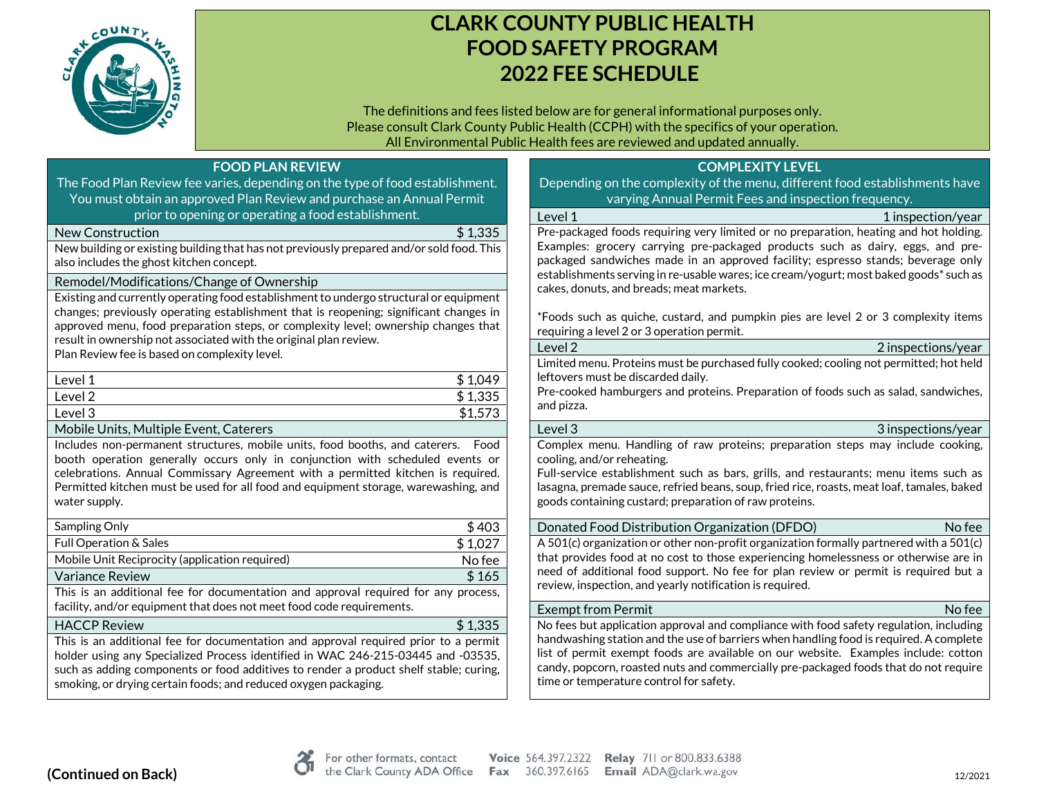

# **CLARK COUNTY PUBLIC HEALTH FOOD SAFETY PROGRAM 2022 FEE SCHEDULE**

The definitions and fees listed below are for general informational purposes only. Please consult Clark County Public Health (CCPH) with the specifics of your operation. All Environmental Public Health fees are reviewed and updated annually.

| <b>FOOD PLAN REVIEW</b>                                                                                                                                                     | <b>COMPLEXITY LEVEL</b>                                                                                                                                                      |
|-----------------------------------------------------------------------------------------------------------------------------------------------------------------------------|------------------------------------------------------------------------------------------------------------------------------------------------------------------------------|
| The Food Plan Review fee varies, depending on the type of food establishment.                                                                                               | Depending on the complexity of the menu, different food establishments have                                                                                                  |
| You must obtain an approved Plan Review and purchase an Annual Permit                                                                                                       | varying Annual Permit Fees and inspection frequency.                                                                                                                         |
| prior to opening or operating a food establishment.                                                                                                                         | Level 1<br>1 inspection/year                                                                                                                                                 |
| \$1,335<br><b>New Construction</b>                                                                                                                                          | Pre-packaged foods requiring very limited or no preparation, heating and hot holding.                                                                                        |
| New building or existing building that has not previously prepared and/or sold food. This<br>also includes the ghost kitchen concept.                                       | Examples: grocery carrying pre-packaged products such as dairy, eggs, and pre-<br>packaged sandwiches made in an approved facility; espresso stands; beverage only           |
| Remodel/Modifications/Change of Ownership                                                                                                                                   | establishments serving in re-usable wares; ice cream/yogurt; most baked goods* such as<br>cakes, donuts, and breads; meat markets.                                           |
| Existing and currently operating food establishment to undergo structural or equipment                                                                                      |                                                                                                                                                                              |
| changes; previously operating establishment that is reopening; significant changes in<br>approved menu, food preparation steps, or complexity level; ownership changes that | *Foods such as quiche, custard, and pumpkin pies are level 2 or 3 complexity items<br>requiring a level 2 or 3 operation permit.                                             |
| result in ownership not associated with the original plan review.<br>Plan Review fee is based on complexity level.                                                          | Level <sub>2</sub><br>2 inspections/year                                                                                                                                     |
|                                                                                                                                                                             | Limited menu. Proteins must be purchased fully cooked; cooling not permitted; hot held                                                                                       |
| \$1,049<br>Level 1                                                                                                                                                          | leftovers must be discarded daily.                                                                                                                                           |
| \$1,335<br>Level 2                                                                                                                                                          | Pre-cooked hamburgers and proteins. Preparation of foods such as salad, sandwiches,<br>and pizza.                                                                            |
| \$1,573<br>Level 3                                                                                                                                                          |                                                                                                                                                                              |
| Mobile Units, Multiple Event, Caterers                                                                                                                                      | Level 3<br>3 inspections/year                                                                                                                                                |
| Includes non-permanent structures, mobile units, food booths, and caterers. Food                                                                                            | Complex menu. Handling of raw proteins; preparation steps may include cooking,                                                                                               |
| booth operation generally occurs only in conjunction with scheduled events or<br>celebrations. Annual Commissary Agreement with a permitted kitchen is required.            | cooling, and/or reheating.<br>Full-service establishment such as bars, grills, and restaurants; menu items such as                                                           |
| Permitted kitchen must be used for all food and equipment storage, warewashing, and                                                                                         | lasagna, premade sauce, refried beans, soup, fried rice, roasts, meat loaf, tamales, baked                                                                                   |
| water supply.                                                                                                                                                               | goods containing custard; preparation of raw proteins.                                                                                                                       |
|                                                                                                                                                                             |                                                                                                                                                                              |
| Sampling Only<br>\$403                                                                                                                                                      | No fee<br>Donated Food Distribution Organization (DFDO)                                                                                                                      |
| \$1,027<br>Full Operation & Sales                                                                                                                                           | A 501(c) organization or other non-profit organization formally partnered with a 501(c)                                                                                      |
| Mobile Unit Reciprocity (application required)<br>No fee                                                                                                                    | that provides food at no cost to those experiencing homelessness or otherwise are in<br>need of additional food support. No fee for plan review or permit is required but a  |
| \$165<br><b>Variance Review</b>                                                                                                                                             | review, inspection, and yearly notification is required.                                                                                                                     |
| This is an additional fee for documentation and approval required for any process,                                                                                          |                                                                                                                                                                              |
| facility, and/or equipment that does not meet food code requirements.                                                                                                       | <b>Exempt from Permit</b><br>No fee                                                                                                                                          |
| \$1,335<br><b>HACCP Review</b>                                                                                                                                              | No fees but application approval and compliance with food safety regulation, including                                                                                       |
| This is an additional fee for documentation and approval required prior to a permit                                                                                         | handwashing station and the use of barriers when handling food is required. A complete<br>list of permit exempt foods are available on our website. Examples include: cotton |
| holder using any Specialized Process identified in WAC 246-215-03445 and -03535,<br>such as adding components or food additives to render a product shelf stable; curing,   | candy, popcorn, roasted nuts and commercially pre-packaged foods that do not require                                                                                         |
| smoking, or drying certain foods; and reduced oxygen packaging.                                                                                                             | time or temperature control for safety.                                                                                                                                      |